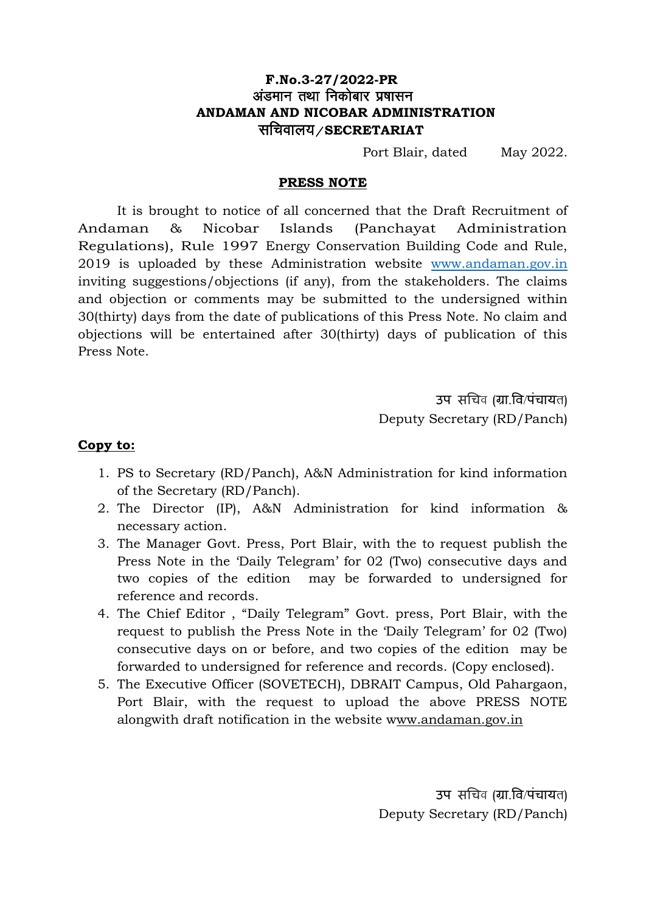## **F.No.3-27/2022-PR** अंडमान तथा निकोबार प्रषासन  **ANDAMAN AND NICOBAR ADMINISTRATION** lfpoky;@**SECRETARIAT**

Port Blair, dated May 2022.

#### **PRESS NOTE**

It is brought to notice of all concerned that the Draft Recruitment of Andaman & Nicobar Islands (Panchayat Administration Regulations), Rule 1997 Energy Conservation Building Code and Rule, 2019 is uploaded by these Administration website [www.andaman.gov.in](http://www.andaman.gov.in/) inviting suggestions/objections (if any), from the stakeholders. The claims and objection or comments may be submitted to the undersigned within 30(thirty) days from the date of publications of this Press Note. No claim and objections will be entertained after 30(thirty) days of publication of this Press Note.

> उप सचिव (ग्रा.वि/पंचायत) Deputy Secretary (RD/Panch)

#### **Copy to:**

- 1. PS to Secretary (RD/Panch), A&N Administration for kind information of the Secretary (RD/Panch).
- 2. The Director (IP), A&N Administration for kind information & necessary action.
- 3. The Manager Govt. Press, Port Blair, with the to request publish the Press Note in the 'Daily Telegram' for 02 (Two) consecutive days and two copies of the edition may be forwarded to undersigned for reference and records.
- 4. The Chief Editor , "Daily Telegram" Govt. press, Port Blair, with the request to publish the Press Note in the 'Daily Telegram' for 02 (Two) consecutive days on or before, and two copies of the edition may be forwarded to undersigned for reference and records. (Copy enclosed).
- 5. The Executive Officer (SOVETECH), DBRAIT Campus, Old Pahargaon, Port Blair, with the request to upload the above PRESS NOTE alongwith draft notification in the website www.andaman.gov.in

उप सचिव (ग्रा.वि/पंचायत) Deputy Secretary (RD/Panch)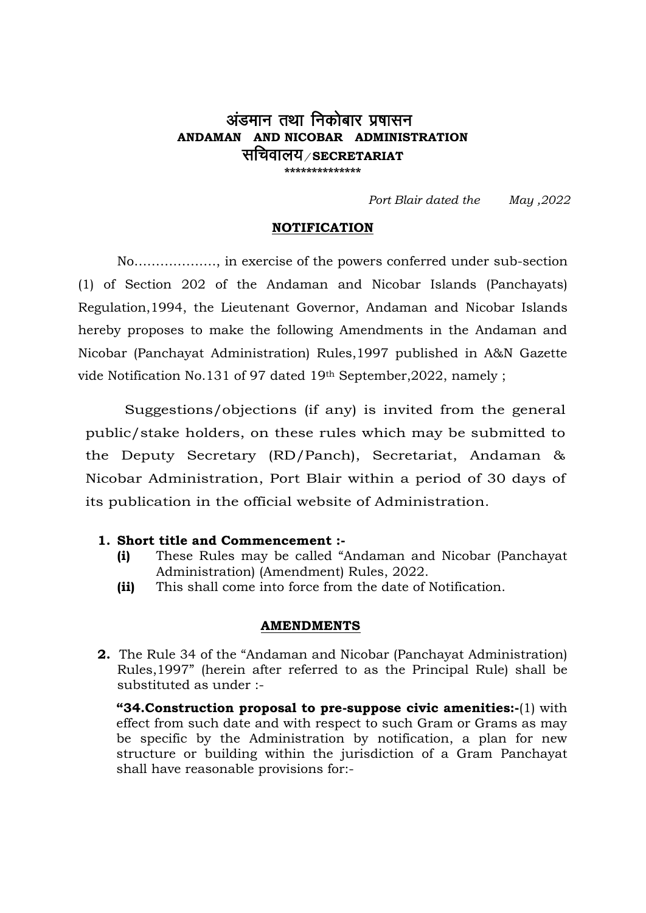# अंडमान तथा निकोबार प्रषासन **ANDAMAN AND NICOBAR ADMINISTRATION** सचिवालय*/* secretariat **\*\*\*\*\*\*\*\*\*\*\*\*\*\***

*Port Blair dated the May ,2022*

### **NOTIFICATION**

No………………., in exercise of the powers conferred under sub-section (1) of Section 202 of the Andaman and Nicobar Islands (Panchayats) Regulation,1994, the Lieutenant Governor, Andaman and Nicobar Islands hereby proposes to make the following Amendments in the Andaman and Nicobar (Panchayat Administration) Rules,1997 published in A&N Gazette vide Notification No.131 of 97 dated 19th September,2022, namely ;

Suggestions/objections (if any) is invited from the general public/stake holders, on these rules which may be submitted to the Deputy Secretary (RD/Panch), Secretariat, Andaman & Nicobar Administration, Port Blair within a period of 30 days of its publication in the official website of Administration.

#### **1. Short title and Commencement :-**

- **(i)** These Rules may be called "Andaman and Nicobar (Panchayat Administration) (Amendment) Rules, 2022.
- **(ii)** This shall come into force from the date of Notification.

#### **AMENDMENTS**

**2.** The Rule 34 of the "Andaman and Nicobar (Panchayat Administration) Rules,1997" (herein after referred to as the Principal Rule) shall be substituted as under :-

**"34.Construction proposal to pre-suppose civic amenities:-**(1) with effect from such date and with respect to such Gram or Grams as may be specific by the Administration by notification, a plan for new structure or building within the jurisdiction of a Gram Panchayat shall have reasonable provisions for:-